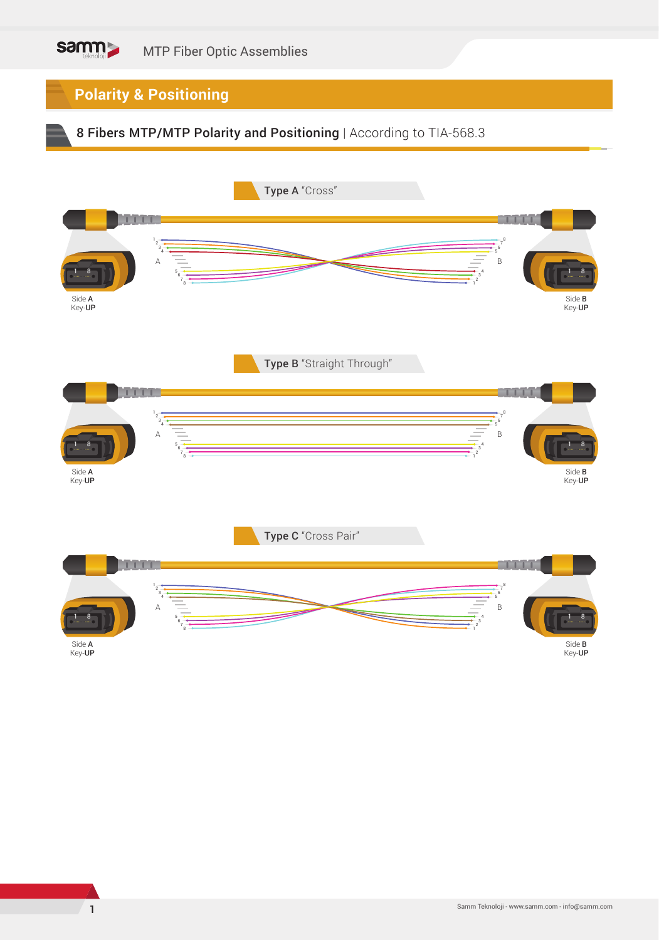## **Polarity & Positioning**

## 8 Fibers MTP/MTP Polarity and Positioning | According to TIA-568.3

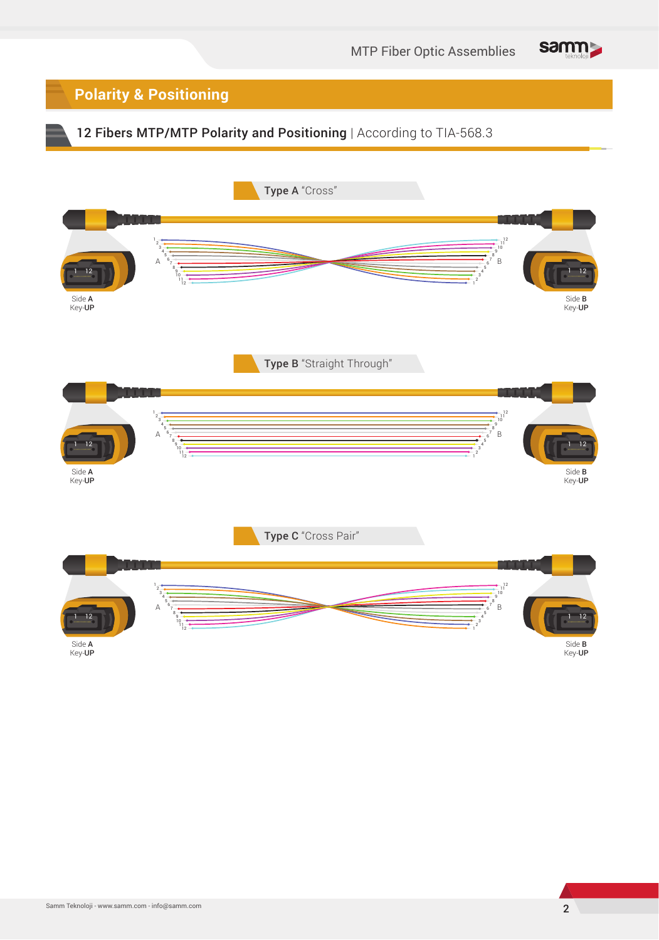